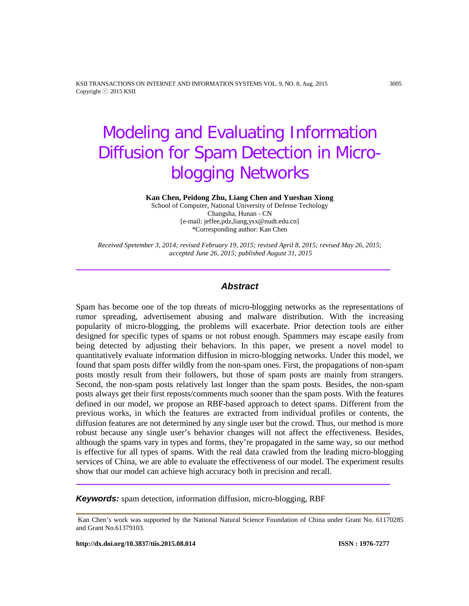KSII TRANSACTIONS ON INTERNET AND INFORMATION SYSTEMS VOL. 9, NO. 8, Aug. 2015 3005 Copyright ⓒ 2015 KSII

# Modeling and Evaluating Information Diffusion for Spam Detection in Microblogging Networks

**Kan Chen, Peidong Zhu, Liang Chen and Yueshan Xiong**

School of Computer, National University of Defense Techology Changsha, Hunan - CN [e-mail: jeffee,pdz,liang,ysx@nudt.edu.cn] \*Corresponding author: Kan Chen

*Received Spetember 3, 2014; revised February 19, 2015; revised April 8, 2015; revised May 26, 2015; accepted June 26, 2015; published August 31, 2015*

# *Abstract*

Spam has become one of the top threats of micro-blogging networks as the representations of rumor spreading, advertisement abusing and malware distribution. With the increasing popularity of micro-blogging, the problems will exacerbate. Prior detection tools are either designed for specific types of spams or not robust enough. Spammers may escape easily from being detected by adjusting their behaviors. In this paper, we present a novel model to quantitatively evaluate information diffusion in micro-blogging networks. Under this model, we found that spam posts differ wildly from the non-spam ones. First, the propagations of non-spam posts mostly result from their followers, but those of spam posts are mainly from strangers. Second, the non-spam posts relatively last longer than the spam posts. Besides, the non-spam posts always get their first reposts/comments much sooner than the spam posts. With the features defined in our model, we propose an RBF-based approach to detect spams. Different from the previous works, in which the features are extracted from individual profiles or contents, the diffusion features are not determined by any single user but the crowd. Thus, our method is more robust because any single user's behavior changes will not affect the effectiveness. Besides, although the spams vary in types and forms, they're propagated in the same way, so our method is effective for all types of spams. With the real data crawled from the leading micro-blogging services of China, we are able to evaluate the effectiveness of our model. The experiment results show that our model can achieve high accuracy both in precision and recall.

*Keywords:* spam detection, information diffusion, micro-blogging, RBF

Kan Chen's work was supported by the National Natural Science Foundation of China under Grant No. 61170285 and Grant No.61379103.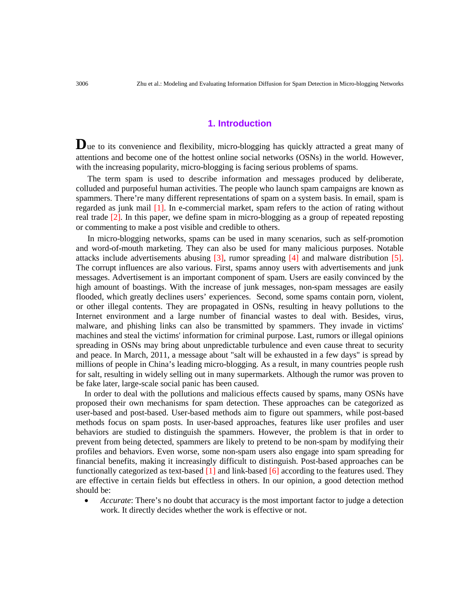# **1. Introduction**

Due to its convenience and flexibility, micro-blogging has quickly attracted a great many of attentions and become one of the hottest online social networks (OSNs) in the world. However, with the increasing popularity, micro-blogging is facing serious problems of spams.

The term spam is used to describe information and messages produced by deliberate, colluded and purposeful human activities. The people who launch spam campaigns are known as spammers. There're many different representations of spam on a system basis. In email, spam is regarded as junk mail [1]. In e-commercial market, spam refers to the action of rating without real trade [2]. In this paper, we define spam in micro-blogging as a group of repeated reposting or commenting to make a post visible and credible to others.

In micro-blogging networks, spams can be used in many scenarios, such as self-promotion and word-of-mouth marketing. They can also be used for many malicious purposes. Notable attacks include advertisements abusing [3], rumor spreading [4] and malware distribution [5]. The corrupt influences are also various. First, spams annoy users with advertisements and junk messages. Advertisement is an important component of spam. Users are easily convinced by the high amount of boastings. With the increase of junk messages, non-spam messages are easily flooded, which greatly declines users' experiences. Second, some spams contain porn, violent, or other illegal contents. They are propagated in OSNs, resulting in heavy pollutions to the Internet environment and a large number of financial wastes to deal with. Besides, virus, malware, and phishing links can also be transmitted by spammers. They invade in victims' machines and steal the victims' information for criminal purpose. Last, rumors or illegal opinions spreading in OSNs may bring about unpredictable turbulence and even cause threat to security and peace. In March, 2011, a message about "salt will be exhausted in a few days" is spread by millions of people in China's leading micro-blogging. As a result, in many countries people rush for salt, resulting in widely selling out in many supermarkets. Although the rumor was proven to be fake later, large-scale social panic has been caused.

In order to deal with the pollutions and malicious effects caused by spams, many OSNs have proposed their own mechanisms for spam detection. These approaches can be categorized as user-based and post-based. User-based methods aim to figure out spammers, while post-based methods focus on spam posts. In user-based approaches, features like user profiles and user behaviors are studied to distinguish the spammers. However, the problem is that in order to prevent from being detected, spammers are likely to pretend to be non-spam by modifying their profiles and behaviors. Even worse, some non-spam users also engage into spam spreading for financial benefits, making it increasingly difficult to distinguish. Post-based approaches can be functionally categorized as text-based [1] and link-based [6] according to the features used. They are effective in certain fields but effectless in others. In our opinion, a good detection method should be:

• *Accurate*: There's no doubt that accuracy is the most important factor to judge a detection work. It directly decides whether the work is effective or not.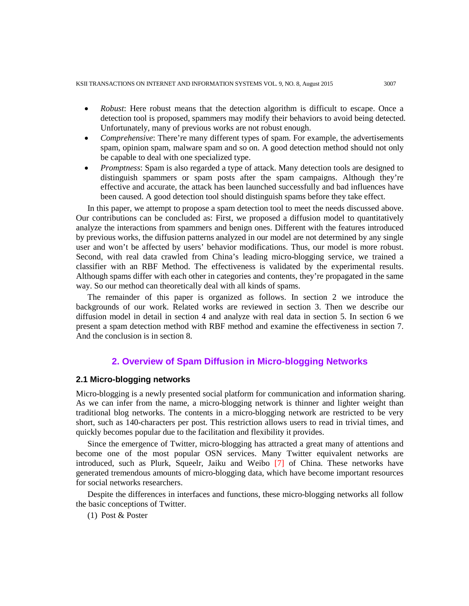- *Robust*: Here robust means that the detection algorithm is difficult to escape. Once a detection tool is proposed, spammers may modify their behaviors to avoid being detected. Unfortunately, many of previous works are not robust enough.
- *Comprehensive*: There're many different types of spam. For example, the advertisements spam, opinion spam, malware spam and so on. A good detection method should not only be capable to deal with one specialized type.
- *Promptness*: Spam is also regarded a type of attack. Many detection tools are designed to distinguish spammers or spam posts after the spam campaigns. Although they're effective and accurate, the attack has been launched successfully and bad influences have been caused. A good detection tool should distinguish spams before they take effect.

In this paper, we attempt to propose a spam detection tool to meet the needs discussed above. Our contributions can be concluded as: First, we proposed a diffusion model to quantitatively analyze the interactions from spammers and benign ones. Different with the features introduced by previous works, the diffusion patterns analyzed in our model are not determined by any single user and won't be affected by users' behavior modifications. Thus, our model is more robust. Second, with real data crawled from China's leading micro-blogging service, we trained a classifier with an RBF Method. The effectiveness is validated by the experimental results. Although spams differ with each other in categories and contents, they're propagated in the same way. So our method can theoretically deal with all kinds of spams.

The remainder of this paper is organized as follows. In section 2 we introduce the backgrounds of our work. Related works are reviewed in section 3. Then we describe our diffusion model in detail in section 4 and analyze with real data in section 5. In section 6 we present a spam detection method with RBF method and examine the effectiveness in section 7. And the conclusion is in section 8.

# **2. Overview of Spam Diffusion in Micro-blogging Networks**

# **2.1 Micro-blogging networks**

Micro-blogging is a newly presented social platform for communication and information sharing. As we can infer from the name, a micro-blogging network is thinner and lighter weight than traditional blog networks. The contents in a micro-blogging network are restricted to be very short, such as 140-characters per post. This restriction allows users to read in trivial times, and quickly becomes popular due to the facilitation and flexibility it provides.

Since the emergence of Twitter, micro-blogging has attracted a great many of attentions and become one of the most popular OSN services. Many Twitter equivalent networks are introduced, such as Plurk, Squeelr, Jaiku and Weibo [7] of China. These networks have generated tremendous amounts of micro-blogging data, which have become important resources for social networks researchers.

Despite the differences in interfaces and functions, these micro-blogging networks all follow the basic conceptions of Twitter.

(1) Post & Poster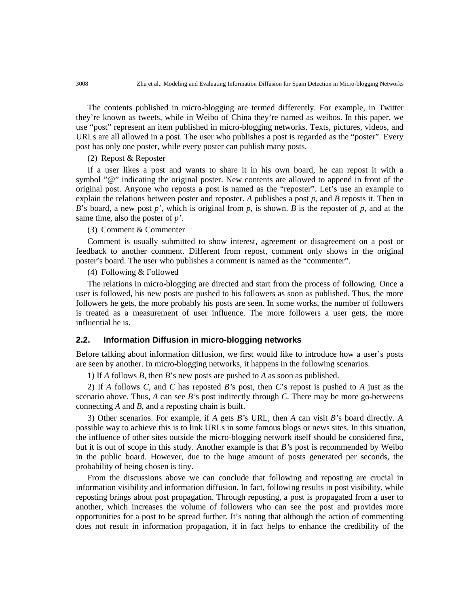The contents published in micro-blogging are termed differently. For example, in Twitter they're known as tweets, while in Weibo of China they're named as weibos. In this paper, we use "post" represent an item published in micro-blogging networks. Texts, pictures, videos, and URLs are all allowed in a post. The user who publishes a post is regarded as the "poster". Every post has only one poster, while every poster can publish many posts.

#### (2) Repost & Reposter

If a user likes a post and wants to share it in his own board, he can repost it with a symbol "@" indicating the original poster. New contents are allowed to append in front of the original post. Anyone who reposts a post is named as the "reposter". Let's use an example to explain the relations between poster and reposter. *A* publishes a post *p*, and *B* reposts it. Then in *B*'s board, a new post *p'*, which is original from *p*, is shown. *B* is the reposter of *p*, and at the same time, also the poster of *p'*.

(3) Comment & Commenter

Comment is usually submitted to show interest, agreement or disagreement on a post or feedback to another comment. Different from repost, comment only shows in the original poster's board. The user who publishes a comment is named as the "commenter".

(4) Following & Followed

The relations in micro-blogging are directed and start from the process of following. Once a user is followed, his new posts are pushed to his followers as soon as published. Thus, the more followers he gets, the more probably his posts are seen. In some works, the number of followers is treated as a measurement of user influence. The more followers a user gets, the more influential he is.

#### **2.2. Information Diffusion in micro-blogging networks**

Before talking about information diffusion, we first would like to introduce how a user's posts are seen by another. In micro-blogging networks, it happens in the following scenarios.

1) If *A* follows *B*, then *B*'s new posts are pushed to *A* as soon as published.

2) If *A* follows *C*, and *C* has reposted *B'*s post, then *C*'s repost is pushed to *A* just as the scenario above. Thus, *A* can see *B'*s post indirectly through *C*. There may be more go-betweens connecting *A* and *B*, and a reposting chain is built.

3) Other scenarios. For example, if *A* gets *B'*s URL, then *A* can visit *B'*s board directly. A possible way to achieve this is to link URLs in some famous blogs or news sites. In this situation, the influence of other sites outside the micro-blogging network itself should be considered first, but it is out of scope in this study. Another example is that *B'*s post is recommended by Weibo in the public board. However, due to the huge amount of posts generated per seconds, the probability of being chosen is tiny.

From the discussions above we can conclude that following and reposting are crucial in information visibility and information diffusion. In fact, following results in post visibility, while reposting brings about post propagation. Through reposting, a post is propagated from a user to another, which increases the volume of followers who can see the post and provides more opportunities for a post to be spread further. It's noting that although the action of commenting does not result in information propagation, it in fact helps to enhance the credibility of the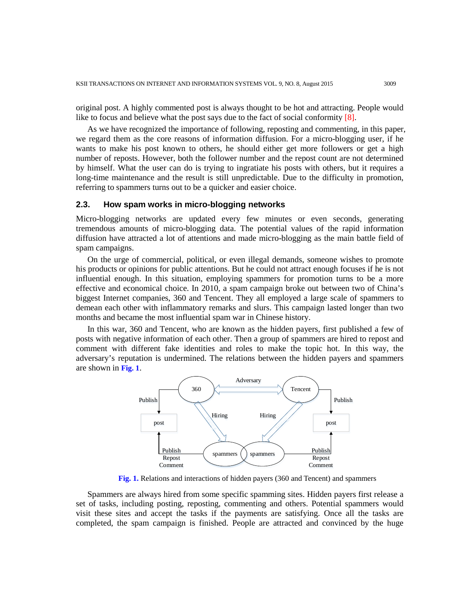original post. A highly commented post is always thought to be hot and attracting. People would like to focus and believe what the post says due to the fact of social conformity [8].

As we have recognized the importance of following, reposting and commenting, in this paper, we regard them as the core reasons of information diffusion. For a micro-blogging user, if he wants to make his post known to others, he should either get more followers or get a high number of reposts. However, both the follower number and the repost count are not determined by himself. What the user can do is trying to ingratiate his posts with others, but it requires a long-time maintenance and the result is still unpredictable. Due to the difficulty in promotion, referring to spammers turns out to be a quicker and easier choice.

#### **2.3. How spam works in micro-blogging networks**

Micro-blogging networks are updated every few minutes or even seconds, generating tremendous amounts of micro-blogging data. The potential values of the rapid information diffusion have attracted a lot of attentions and made micro-blogging as the main battle field of spam campaigns.

On the urge of commercial, political, or even illegal demands, someone wishes to promote his products or opinions for public attentions. But he could not attract enough focuses if he is not influential enough. In this situation, employing spammers for promotion turns to be a more effective and economical choice. In 2010, a spam campaign broke out between two of China's biggest Internet companies, 360 and Tencent. They all employed a large scale of spammers to demean each other with inflammatory remarks and slurs. This campaign lasted longer than two months and became the most influential spam war in Chinese history.

In this war, 360 and Tencent, who are known as the hidden payers, first published a few of posts with negative information of each other. Then a group of spammers are hired to repost and comment with different fake identities and roles to make the topic hot. In this way, the adversary's reputation is undermined. The relations between the hidden payers and spammers are shown in **Fig. 1**.



**Fig. 1.** Relations and interactions of hidden payers (360 and Tencent) and spammers

Spammers are always hired from some specific spamming sites. Hidden payers first release a set of tasks, including posting, reposting, commenting and others. Potential spammers would visit these sites and accept the tasks if the payments are satisfying. Once all the tasks are completed, the spam campaign is finished. People are attracted and convinced by the huge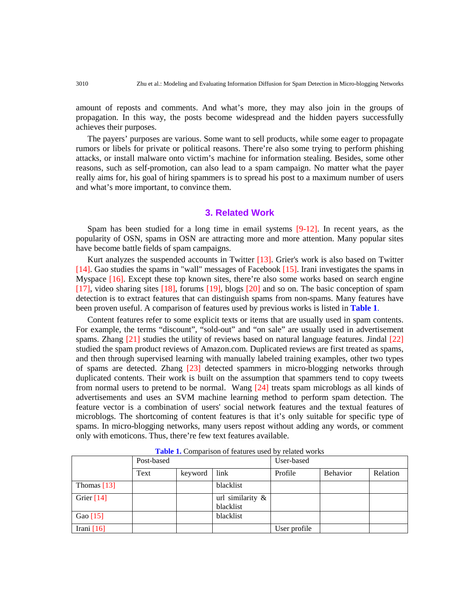amount of reposts and comments. And what's more, they may also join in the groups of propagation. In this way, the posts become widespread and the hidden payers successfully achieves their purposes.

The payers' purposes are various. Some want to sell products, while some eager to propagate rumors or libels for private or political reasons. There're also some trying to perform phishing attacks, or install malware onto victim's machine for information stealing. Besides, some other reasons, such as self-promotion, can also lead to a spam campaign. No matter what the payer really aims for, his goal of hiring spammers is to spread his post to a maximum number of users and what's more important, to convince them.

## **3. Related Work**

Spam has been studied for a long time in email systems  $[9-12]$ . In recent years, as the popularity of OSN, spams in OSN are attracting more and more attention. Many popular sites have become battle fields of spam campaigns.

Kurt analyzes the suspended accounts in Twitter [13]. Grier's work is also based on Twitter [14]. Gao studies the spams in "wall" messages of Facebook [15]. Irani investigates the spams in Myspace [16]. Except these top known sites, there're also some works based on search engine [17], video sharing sites [18], forums [19], blogs [20] and so on. The basic conception of spam detection is to extract features that can distinguish spams from non-spams. Many features have been proven useful. A comparison of features used by previous works is listed in **Table 1**.

Content features refer to some explicit texts or items that are usually used in spam contents. For example, the terms "discount", "sold-out" and "on sale" are usually used in advertisement spams. Zhang [21] studies the utility of reviews based on natural language features. Jindal [22] studied the spam product reviews of Amazon.com. Duplicated reviews are first treated as spams, and then through supervised learning with manually labeled training examples, other two types of spams are detected. Zhang [23] detected spammers in micro-blogging networks through duplicated contents. Their work is built on the assumption that spammers tend to copy tweets from normal users to pretend to be normal. Wang [24] treats spam microblogs as all kinds of advertisements and uses an SVM machine learning method to perform spam detection. The feature vector is a combination of users' social network features and the textual features of microblogs. The shortcoming of content features is that it's only suitable for specific type of spams. In micro-blogging networks, many users repost without adding any words, or comment only with emoticons. Thus, there're few text features available.

|               | Post-based |         |                                  | User-based   |          |          |  |  |
|---------------|------------|---------|----------------------------------|--------------|----------|----------|--|--|
|               | Text       | keyword | link                             | Profile      | Behavior | Relation |  |  |
| Thomas $[13]$ |            |         | blacklist                        |              |          |          |  |  |
| Grier $[14]$  |            |         | url similarity $\&$<br>blacklist |              |          |          |  |  |
| Gao $[15]$    |            |         | blacklist                        |              |          |          |  |  |
| Irani $[16]$  |            |         |                                  | User profile |          |          |  |  |

**Table 1.** Comparison of features used by related works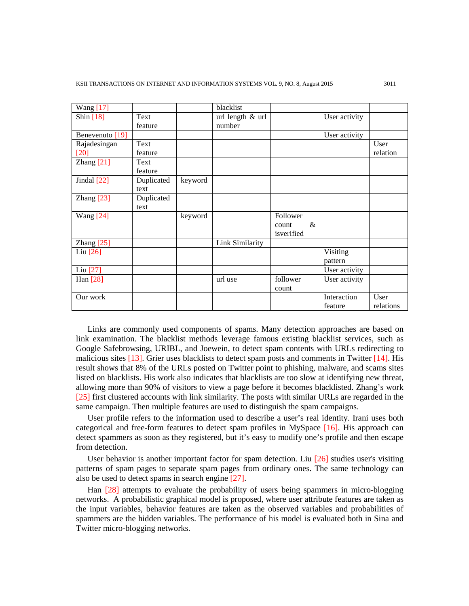| <b>Wang</b> [17]    |            |         | blacklist        |               |               |           |
|---------------------|------------|---------|------------------|---------------|---------------|-----------|
| Shin [18]           | Text       |         | url length & url |               | User activity |           |
|                     | feature    |         | number           |               |               |           |
| Benevenuto [19]     |            |         |                  |               | User activity |           |
| Rajadesingan        | Text       |         |                  |               |               | User      |
| $[20]$              | feature    |         |                  |               |               | relation  |
| Zhang $[21]$        | Text       |         |                  |               |               |           |
|                     | feature    |         |                  |               |               |           |
| Jindal $[22]$       | Duplicated | keyword |                  |               |               |           |
|                     | text       |         |                  |               |               |           |
| Zhang $[23]$        | Duplicated |         |                  |               |               |           |
|                     | text       |         |                  |               |               |           |
| <b>Wang</b> [24]    |            | keyword |                  | Follower      |               |           |
|                     |            |         |                  | $\&$<br>count |               |           |
|                     |            |         |                  | isverified    |               |           |
| Zhang $[25]$        |            |         | Link Similarity  |               |               |           |
| Liu $[26]$          |            |         |                  |               | Visiting      |           |
|                     |            |         |                  |               | pattern       |           |
| Liu <sup>[27]</sup> |            |         |                  |               | User activity |           |
| Han [28]            |            |         | url use          | follower      | User activity |           |
|                     |            |         |                  | count         |               |           |
| Our work            |            |         |                  |               | Interaction   | User      |
|                     |            |         |                  |               | feature       | relations |

Links are commonly used components of spams. Many detection approaches are based on link examination. The blacklist methods leverage famous existing blacklist services, such as Google Safebrowsing, URIBL, and Joewein, to detect spam contents with URLs redirecting to malicious sites [13]. Grier uses blacklists to detect spam posts and comments in Twitter [14]. His result shows that 8% of the URLs posted on Twitter point to phishing, malware, and scams sites listed on blacklists. His work also indicates that blacklists are too slow at identifying new threat, allowing more than 90% of visitors to view a page before it becomes blacklisted. Zhang's work [25] first clustered accounts with link similarity. The posts with similar URLs are regarded in the same campaign. Then multiple features are used to distinguish the spam campaigns.

User profile refers to the information used to describe a user's real identity. Irani uses both categorical and free-form features to detect spam profiles in MySpace [16]. His approach can detect spammers as soon as they registered, but it's easy to modify one's profile and then escape from detection.

User behavior is another important factor for spam detection. Liu  $[26]$  studies user's visiting patterns of spam pages to separate spam pages from ordinary ones. The same technology can also be used to detect spams in search engine [27].

Han [28] attempts to evaluate the probability of users being spammers in micro-blogging networks. A probabilistic graphical model is proposed, where user attribute features are taken as the input variables, behavior features are taken as the observed variables and probabilities of spammers are the hidden variables. The performance of his model is evaluated both in Sina and Twitter micro-blogging networks.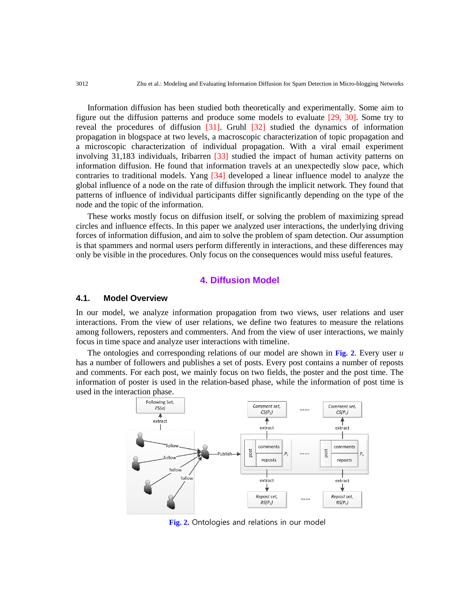Information diffusion has been studied both theoretically and experimentally. Some aim to figure out the diffusion patterns and produce some models to evaluate [29, 30]. Some try to reveal the procedures of diffusion [31]. Gruhl [32] studied the dynamics of information propagation in blogspace at two levels, a macroscopic characterization of topic propagation and a microscopic characterization of individual propagation. With a viral email experiment involving 31,183 individuals, Iribarren [33] studied the impact of human activity patterns on information diffusion. He found that information travels at an unexpectedly slow pace, which contraries to traditional models. Yang [34] developed a linear influence model to analyze the global influence of a node on the rate of diffusion through the implicit network. They found that patterns of influence of individual participants differ significantly depending on the type of the node and the topic of the information.

These works mostly focus on diffusion itself, or solving the problem of maximizing spread circles and influence effects. In this paper we analyzed user interactions, the underlying driving forces of information diffusion, and aim to solve the problem of spam detection. Our assumption is that spammers and normal users perform differently in interactions, and these differences may only be visible in the procedures. Only focus on the consequences would miss useful features.

## **4. Diffusion Model**

## **4.1. Model Overview**

In our model, we analyze information propagation from two views, user relations and user interactions. From the view of user relations, we define two features to measure the relations among followers, reposters and commenters. And from the view of user interactions, we mainly focus in time space and analyze user interactions with timeline.

The ontologies and corresponding relations of our model are shown in **Fig. 2**. Every user *u* has a number of followers and publishes a set of posts. Every post contains a number of reposts and comments. For each post, we mainly focus on two fields, the poster and the post time. The information of poster is used in the relation-based phase, while the information of post time is used in the interaction phase.



**Fig. 2.** Ontologies and relations in our model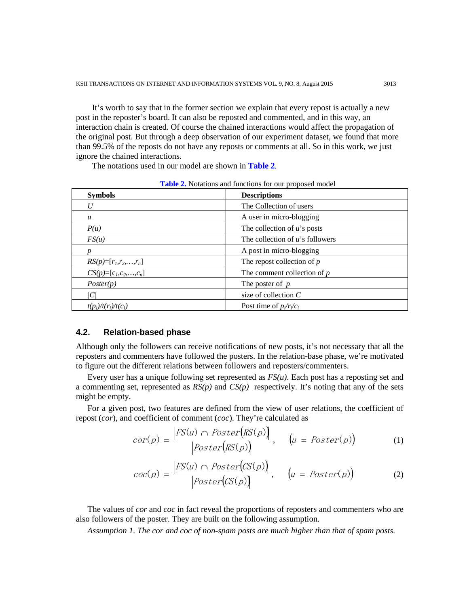It's worth to say that in the former section we explain that every repost is actually a new post in the reposter's board. It can also be reposted and commented, and in this way, an interaction chain is created. Of course the chained interactions would affect the propagation of the original post. But through a deep observation of our experiment dataset, we found that more than 99.5% of the reposts do not have any reposts or comments at all. So in this work, we just ignore the chained interactions.

The notations used in our model are shown in **Table 2**.

| <b>Symbols</b>         | <b>Descriptions</b>                |
|------------------------|------------------------------------|
| U                      | The Collection of users            |
| $\mathfrak u$          | A user in micro-blogging           |
| P(u)                   | The collection of $u$ 's posts     |
| FS(u)                  | The collection of $u$ 's followers |
|                        | A post in micro-blogging           |
| $RS(p)=[r_1,r_2,,r_n]$ | The repost collection of $p$       |
| $CS(p)=[c_1,c_2,,c_n]$ | The comment collection of $p$      |
| Poster(p)              | The poster of $p$                  |
| C.                     | size of collection $C$             |
| $t(p_i)/t(r_i)/t(c_i)$ | Post time of $p/r/c_i$             |

**Table 2.** Notations and functions for our proposed model

#### **4.2. Relation-based phase**

Although only the followers can receive notifications of new posts, it's not necessary that all the reposters and commenters have followed the posters. In the relation-base phase, we're motivated to figure out the different relations between followers and reposters/commenters.

Every user has a unique following set represented as  $FS(u)$ . Each post has a reposting set and a commenting set, represented as *RS(p)* and *CS(p)* respectively. It's noting that any of the sets might be empty.

For a given post, two features are defined from the view of user relations, the coefficient of repost (*cor*), and coefficient of comment (*coc*). They're calculated as

$$
cor(p) = \frac{|FS(u) \cap Poster\big(RS(p)\big)}{|Poster\big(RS(p)\big)}, \quad \big(u = Poster(p)\big) \tag{1}
$$

$$
coc(p) = \frac{|FS(u) \cap Poster(CS(p))|}{|Poster(CS(p))|}, \quad (u = Poster(p))
$$
 (2)

The values of *cor* and *coc* in fact reveal the proportions of reposters and commenters who are also followers of the poster. They are built on the following assumption.

*Assumption 1. The cor and coc of non-spam posts are much higher than that of spam posts.*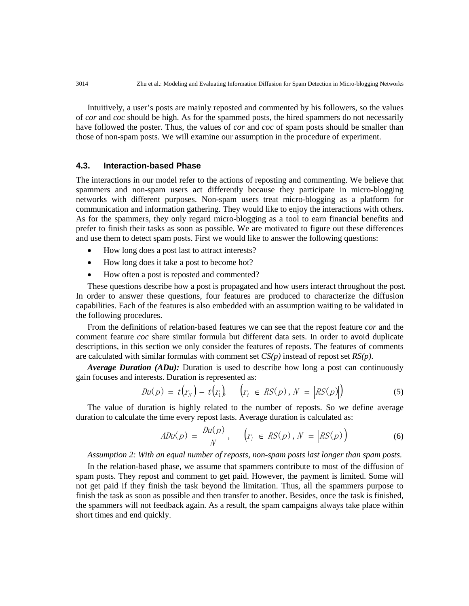Intuitively, a user's posts are mainly reposted and commented by his followers, so the values of *cor* and *coc* should be high. As for the spammed posts, the hired spammers do not necessarily have followed the poster. Thus, the values of *cor* and *coc* of spam posts should be smaller than those of non-spam posts. We will examine our assumption in the procedure of experiment.

# **4.3. Interaction-based Phase**

The interactions in our model refer to the actions of reposting and commenting. We believe that spammers and non-spam users act differently because they participate in micro-blogging networks with different purposes. Non-spam users treat micro-blogging as a platform for communication and information gathering. They would like to enjoy the interactions with others. As for the spammers, they only regard micro-blogging as a tool to earn financial benefits and prefer to finish their tasks as soon as possible. We are motivated to figure out these differences and use them to detect spam posts. First we would like to answer the following questions:

- How long does a post last to attract interests?
- How long does it take a post to become hot?
- How often a post is reposted and commented?

These questions describe how a post is propagated and how users interact throughout the post. In order to answer these questions, four features are produced to characterize the diffusion capabilities. Each of the features is also embedded with an assumption waiting to be validated in the following procedures.

From the definitions of relation-based features we can see that the repost feature *cor* and the comment feature *coc* share similar formula but different data sets. In order to avoid duplicate descriptions, in this section we only consider the features of reposts. The features of comments are calculated with similar formulas with comment set *CS(p)* instead of repost set *RS(p)*.

*Average Duration (ADu):* Duration is used to describe how long a post can continuously gain focuses and interests. Duration is represented as:

$$
Du(p) = t(r_N) - t(r_1), \quad (r_i \in RS(p), N = |RS(p)|)
$$
\n(5)

The value of duration is highly related to the number of reposts. So we define average duration to calculate the time every repost lasts. Average duration is calculated as:

$$
ADu(p) = \frac{Du(p)}{N}, \quad (r_i \in RS(p), N = |RS(p)|)
$$
\n(6)

#### *Assumption 2: With an equal number of reposts, non-spam posts last longer than spam posts.*

In the relation-based phase, we assume that spammers contribute to most of the diffusion of spam posts. They repost and comment to get paid. However, the payment is limited. Some will not get paid if they finish the task beyond the limitation. Thus, all the spammers purpose to finish the task as soon as possible and then transfer to another. Besides, once the task is finished, the spammers will not feedback again. As a result, the spam campaigns always take place within short times and end quickly.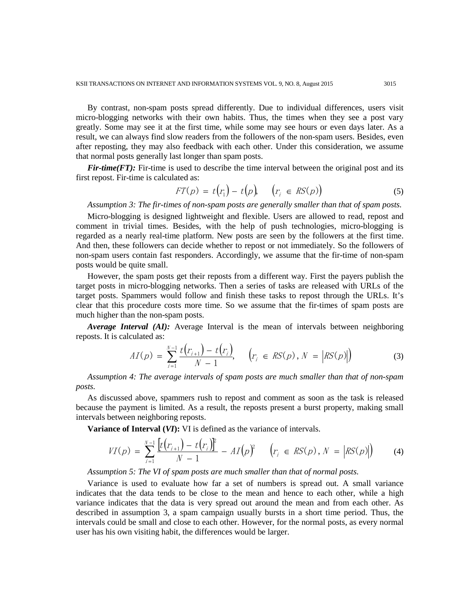By contrast, non-spam posts spread differently. Due to individual differences, users visit micro-blogging networks with their own habits. Thus, the times when they see a post vary greatly. Some may see it at the first time, while some may see hours or even days later. As a result, we can always find slow readers from the followers of the non-spam users. Besides, even after reposting, they may also feedback with each other. Under this consideration, we assume that normal posts generally last longer than spam posts.

*Fir-time(FT)*: Fir-time is used to describe the time interval between the original post and its first repost. Fir-time is calculated as:  $\mathcal{L}^{\text{max}}$ 

$$
FT(p) = t(r_1) - t(p), \quad (r_i \in RS(p))
$$
\n
$$
(5)
$$

*Assumption 3: The fir-times of non-spam posts are generally smaller than that of spam posts.*

Micro-blogging is designed lightweight and flexible. Users are allowed to read, repost and comment in trivial times. Besides, with the help of push technologies, micro-blogging is regarded as a nearly real-time platform. New posts are seen by the followers at the first time. And then, these followers can decide whether to repost or not immediately. So the followers of non-spam users contain fast responders. Accordingly, we assume that the fir-time of non-spam posts would be quite small.

However, the spam posts get their reposts from a different way. First the payers publish the target posts in micro-blogging networks. Then a series of tasks are released with URLs of the target posts. Spammers would follow and finish these tasks to repost through the URLs. It's clear that this procedure costs more time. So we assume that the fir-times of spam posts are much higher than the non-spam posts.

*Average Interval (AI):* Average Interval is the mean of intervals between neighboring reposts. It is calculated as:

$$
AI(p) = \sum_{i=1}^{N-1} \frac{t(r_{i+1}) - t(r_i)}{N-1}, \quad (r_i \in RS(p), N = |RS(p)|)
$$
(3)

*Assumption 4: The average intervals of spam posts are much smaller than that of non-spam posts.*

As discussed above, spammers rush to repost and comment as soon as the task is released because the payment is limited. As a result, the reposts present a burst property, making small intervals between neighboring reposts.

**Variance of Interval (***VI***):** VI is defined as the variance of intervals.

$$
VI(p) = \sum_{i=1}^{N-1} \frac{\left[t(r_{i+1}) - t(r_i)\right]^2}{N-1} - AI(p)^2 \qquad (r_i \in RS(p), N = |RS(p)|) \tag{4}
$$

*Assumption 5: The VI of spam posts are much smaller than that of normal posts.*

Variance is used to evaluate how far a set of numbers is spread out. A small variance indicates that the data tends to be close to the mean and hence to each other, while a high variance indicates that the data is very spread out around the mean and from each other. As described in assumption 3, a spam campaign usually bursts in a short time period. Thus, the intervals could be small and close to each other. However, for the normal posts, as every normal user has his own visiting habit, the differences would be larger.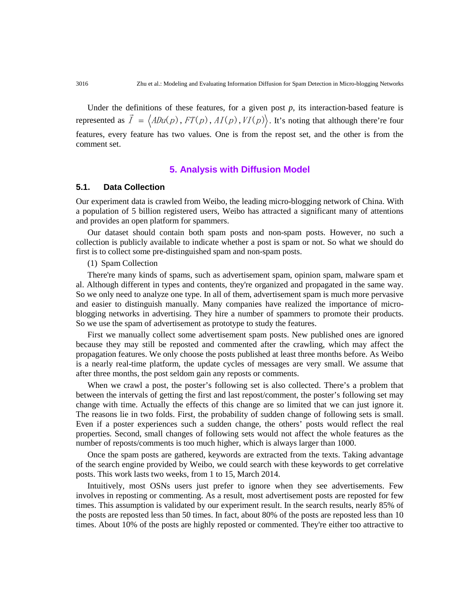Under the definitions of these features, for a given post  $p$ , its interaction-based feature is represented as  $\vec{I} = \langle ADu(p), FT(p), AI(p), VI(p) \rangle$ . It's noting that although there're four features, every feature has two values. One is from the repost set, and the other is from the comment set.

# **5. Analysis with Diffusion Model**

# **5.1. Data Collection**

Our experiment data is crawled from Weibo, the leading micro-blogging network of China. With a population of 5 billion registered users, Weibo has attracted a significant many of attentions and provides an open platform for spammers.

Our dataset should contain both spam posts and non-spam posts. However, no such a collection is publicly available to indicate whether a post is spam or not. So what we should do first is to collect some pre-distinguished spam and non-spam posts.

#### (1) Spam Collection

There're many kinds of spams, such as advertisement spam, opinion spam, malware spam et al. Although different in types and contents, they're organized and propagated in the same way. So we only need to analyze one type. In all of them, advertisement spam is much more pervasive and easier to distinguish manually. Many companies have realized the importance of microblogging networks in advertising. They hire a number of spammers to promote their products. So we use the spam of advertisement as prototype to study the features.

First we manually collect some advertisement spam posts. New published ones are ignored because they may still be reposted and commented after the crawling, which may affect the propagation features. We only choose the posts published at least three months before. As Weibo is a nearly real-time platform, the update cycles of messages are very small. We assume that after three months, the post seldom gain any reposts or comments.

When we crawl a post, the poster's following set is also collected. There's a problem that between the intervals of getting the first and last repost/comment, the poster's following set may change with time. Actually the effects of this change are so limited that we can just ignore it. The reasons lie in two folds. First, the probability of sudden change of following sets is small. Even if a poster experiences such a sudden change, the others' posts would reflect the real properties. Second, small changes of following sets would not affect the whole features as the number of reposts/comments is too much higher, which is always larger than 1000.

Once the spam posts are gathered, keywords are extracted from the texts. Taking advantage of the search engine provided by Weibo, we could search with these keywords to get correlative posts. This work lasts two weeks, from 1 to 15, March 2014.

Intuitively, most OSNs users just prefer to ignore when they see advertisements. Few involves in reposting or commenting. As a result, most advertisement posts are reposted for few times. This assumption is validated by our experiment result. In the search results, nearly 85% of the posts are reposted less than 50 times. In fact, about 80% of the posts are reposted less than 10 times. About 10% of the posts are highly reposted or commented. They're either too attractive to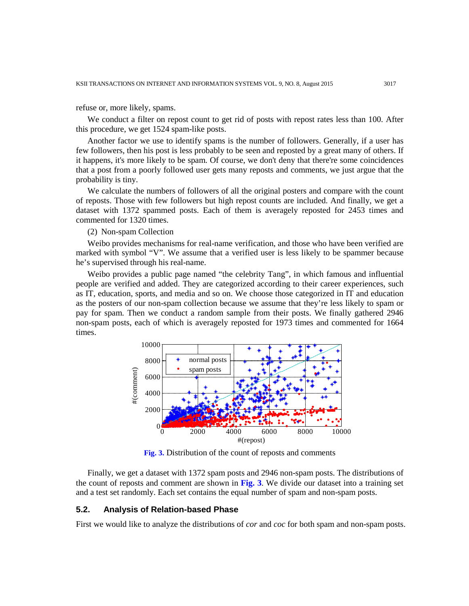refuse or, more likely, spams.

We conduct a filter on repost count to get rid of posts with repost rates less than 100. After this procedure, we get 1524 spam-like posts.

Another factor we use to identify spams is the number of followers. Generally, if a user has few followers, then his post is less probably to be seen and reposted by a great many of others. If it happens, it's more likely to be spam. Of course, we don't deny that there're some coincidences that a post from a poorly followed user gets many reposts and comments, we just argue that the probability is tiny.

We calculate the numbers of followers of all the original posters and compare with the count of reposts. Those with few followers but high repost counts are included. And finally, we get a dataset with 1372 spammed posts. Each of them is averagely reposted for 2453 times and commented for 1320 times.

(2) Non-spam Collection

Weibo provides mechanisms for real-name verification, and those who have been verified are marked with symbol "V". We assume that a verified user is less likely to be spammer because he's supervised through his real-name.

Weibo provides a public page named "the celebrity Tang", in which famous and influential people are verified and added. They are categorized according to their career experiences, such as IT, education, sports, and media and so on. We choose those categorized in IT and education as the posters of our non-spam collection because we assume that they're less likely to spam or pay for spam. Then we conduct a random sample from their posts. We finally gathered 2946 non-spam posts, each of which is averagely reposted for 1973 times and commented for 1664 times.



**Fig. 3.** Distribution of the count of reposts and comments

Finally, we get a dataset with 1372 spam posts and 2946 non-spam posts. The distributions of the count of reposts and comment are shown in **Fig. 3**. We divide our dataset into a training set and a test set randomly. Each set contains the equal number of spam and non-spam posts.

#### **5.2. Analysis of Relation-based Phase**

First we would like to analyze the distributions of *cor* and *coc* for both spam and non-spam posts.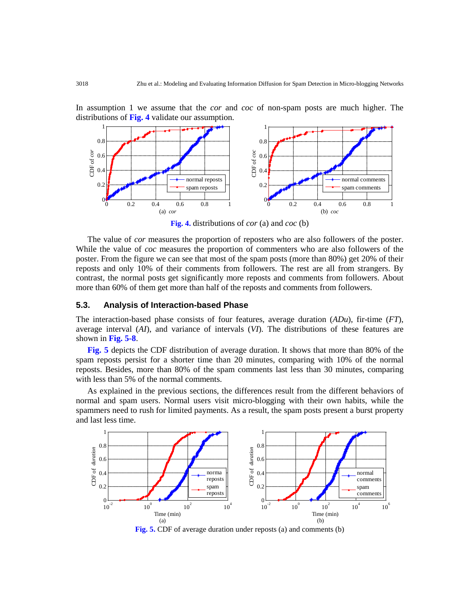1 1  $0.8$ 0.8  $CP$  of  $cor$ CDF of *cor* CDF of *coc* 0.6  $CDF of co$ 0.6 0.4 0.4 normal reposts normal comments 0.2 0.2 spam reposts spam comments 0  $\mathbf{0}$ 0 0.2 0.4 0.6 0.8 1 0 0.2 0.4 0.6 0.8 1 (a) *cor* (b) *coc*

In assumption 1 we assume that the *cor* and *coc* of non-spam posts are much higher. The

**Fig. 4.** distributions of *cor* (a) and *coc* (b)

The value of *cor* measures the proportion of reposters who are also followers of the poster. While the value of *coc* measures the proportion of commenters who are also followers of the poster. From the figure we can see that most of the spam posts (more than 80%) get 20% of their reposts and only 10% of their comments from followers. The rest are all from strangers. By contrast, the normal posts get significantly more reposts and comments from followers. About more than 60% of them get more than half of the reposts and comments from followers.

# **5.3. Analysis of Interaction-based Phase**

distributions of **Fig. 4** validate our assumption.

The interaction-based phase consists of four features, average duration (*ADu*), fir-time (*FT*), average interval (*AI*), and variance of intervals (*VI*). The distributions of these features are shown in **Fig. 5-8**.

**Fig. 5** depicts the CDF distribution of average duration. It shows that more than 80% of the spam reposts persist for a shorter time than 20 minutes, comparing with 10% of the normal reposts. Besides, more than 80% of the spam comments last less than 30 minutes, comparing with less than 5% of the normal comments.

As explained in the previous sections, the differences result from the different behaviors of normal and spam users. Normal users visit micro-blogging with their own habits, while the spammers need to rush for limited payments. As a result, the spam posts present a burst property and last less time.



**Fig. 5.** CDF of average duration under reposts (a) and comments (b)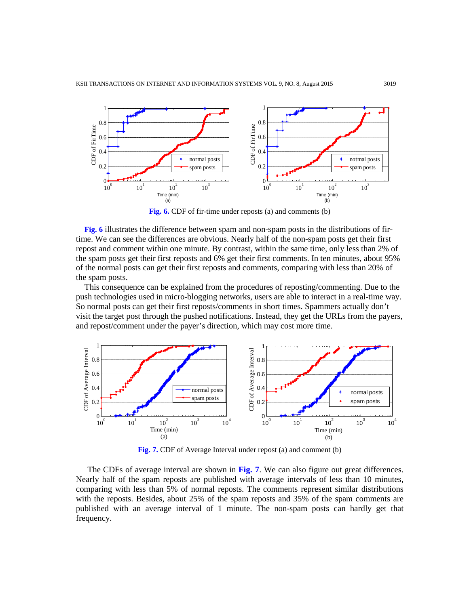

**Fig. 6.** CDF of fir-time under reposts (a) and comments (b)

**Fig. 6** illustrates the difference between spam and non-spam posts in the distributions of firtime. We can see the differences are obvious. Nearly half of the non-spam posts get their first repost and comment within one minute. By contrast, within the same time, only less than 2% of the spam posts get their first reposts and 6% get their first comments. In ten minutes, about 95% of the normal posts can get their first reposts and comments, comparing with less than 20% of the spam posts.

This consequence can be explained from the procedures of reposting/commenting. Due to the push technologies used in micro-blogging networks, users are able to interact in a real-time way. So normal posts can get their first reposts/comments in short times. Spammers actually don't visit the target post through the pushed notifications. Instead, they get the URLs from the payers, and repost/comment under the payer's direction, which may cost more time.



**Fig. 7.** CDF of Average Interval under repost (a) and comment (b)

The CDFs of average interval are shown in **Fig. 7**. We can also figure out great differences. Nearly half of the spam reposts are published with average intervals of less than 10 minutes, comparing with less than 5% of normal reposts. The comments represent similar distributions with the reposts. Besides, about 25% of the spam reposts and 35% of the spam comments are published with an average interval of 1 minute. The non-spam posts can hardly get that frequency.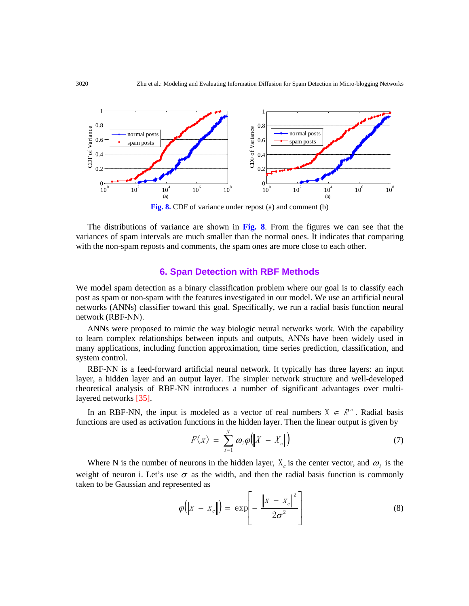

**Fig. 8.** CDF of variance under repost (a) and comment (b)

The distributions of variance are shown in **Fig. 8**. From the figures we can see that the variances of spam intervals are much smaller than the normal ones. It indicates that comparing with the non-spam reposts and comments, the spam ones are more close to each other.

# **6. Span Detection with RBF Methods**

We model spam detection as a binary classification problem where our goal is to classify each post as spam or non-spam with the features investigated in our model. We use an artificial neural networks (ANNs) classifier toward this goal. Specifically, we run a radial basis function neural network (RBF-NN).

ANNs were proposed to mimic the way biologic neural networks work. With the capability to learn complex relationships between inputs and outputs, ANNs have been widely used in many applications, including function approximation, time series prediction, classification, and system control.

RBF-NN is a feed-forward artificial neural network. It typically has three layers: an input layer, a hidden layer and an output layer. The simpler network structure and well-developed theoretical analysis of RBF-NN introduces a number of significant advantages over multilayered networks [35].

In an RBF-NN, the input is modeled as a vector of real numbers  $X \in \mathbb{R}^n$ . Radial basis functions are used as activation functions in the hidden layer. Then the linear output is given by

$$
F(x) = \sum_{i=1}^{N} \omega_i \varphi \big( \big\| X - X_c \big\| \big) \tag{7}
$$

Where N is the number of neurons in the hidden layer,  $X_c$  is the center vector, and  $\omega_i$  is the weight of neuron i. Let's use  $\sigma$  as the width, and then the radial basis function is commonly taken to be Gaussian and represented as

$$
\varphi(|x - x_c|) = \exp\left[-\frac{\left\|x - x_c\right\|^2}{2\sigma^2}\right]
$$
\n(8)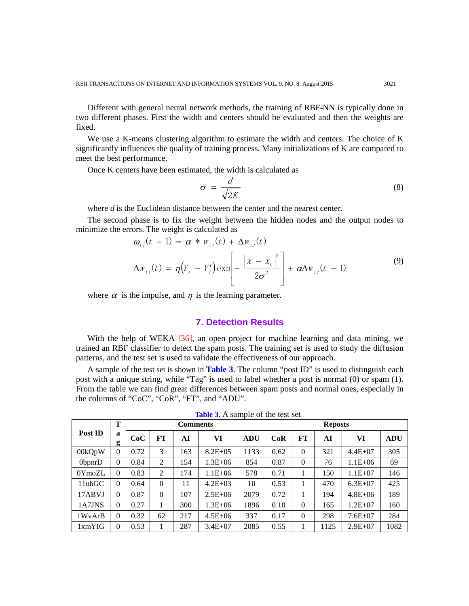Different with general neural network methods, the training of RBF-NN is typically done in two different phases. First the width and centers should be evaluated and then the weights are fixed.

We use a K-means clustering algorithm to estimate the width and centers. The choice of K significantly influences the quality of training process. Many initializations of K are compared to meet the best performance.

Once K centers have been estimated, the width is calculated as

$$
\sigma = \frac{d}{\sqrt{2K}}\tag{8}
$$

where *d* is the Euclidean distance between the center and the nearest center.

The second phase is to fix the weight between the hidden nodes and the output nodes to minimize the errors. The weight is calculated as

$$
\omega_{ij}(t+1) = \alpha * w_{ij}(t) + \Delta w_{ij}(t)
$$
  

$$
\Delta w_{ij}(t) = \eta (Y_j - Y_j') \exp \left[-\frac{\left\|x - x_c\right\|^2}{2\sigma^2}\right] + \alpha \Delta w_{ij}(t-1)
$$
 (9)

where  $\alpha$  is the impulse, and  $\eta$  is the learning parameter.

# **7. Detection Results**

With the help of WEKA [36], an open project for machine learning and data mining, we trained an RBF classifier to detect the spam posts. The training set is used to study the diffusion patterns, and the test set is used to validate the effectiveness of our approach.

A sample of the test set is shown in **Table 3**. The column "post ID" is used to distinguish each post with a unique string, while "Tag" is used to label whether a post is normal (0) or spam (1). From the table we can find great differences between spam posts and normal ones, especially in the columns of "CoC", "CoR", "FT", and "ADU".

|         | Т              | <b>Comments</b> |          |     |              |            | <b>Reposts</b> |          |      |             |            |
|---------|----------------|-----------------|----------|-----|--------------|------------|----------------|----------|------|-------------|------------|
| Post ID | a<br>g         | CoC             | FT       | AI  | VI           | <b>ADU</b> | CoR            | FT       | AI   | VI          | <b>ADU</b> |
| 00kQpW  | $\overline{0}$ | 0.72            | 3        | 163 | $8.2E + 0.5$ | 1133       | 0.62           | $\theta$ | 321  | $4.4E + 07$ | 305        |
| 0bpnrD  | $\overline{0}$ | 0.84            | 2        | 154 | $1.3E + 06$  | 854        | 0.87           | $\Omega$ | 76   | $1.1E + 06$ | 69         |
| 0YmozL  | $\overline{0}$ | 0.83            | 2        | 174 | $1.1E + 06$  | 578        | 0.71           |          | 150  | $1.1E + 07$ | 146        |
| 11ubGC  | $\theta$       | 0.64            | $\Omega$ | 11  | $4.2E + 03$  | 10         | 0.53           |          | 470  | $6.3E + 07$ | 425        |
| 17ABVJ  | $\overline{0}$ | 0.87            | $\Omega$ | 107 | $2.5E + 06$  | 2079       | 0.72           |          | 194  | $4.8E + 06$ | 189        |
| 1A7JNS  | $\overline{0}$ | 0.27            |          | 300 | $1.3E + 06$  | 1896       | 0.10           | $\Omega$ | 165  | $1.2E + 07$ | 160        |
| 1WyArB  | $\overline{0}$ | 0.32            | 62       | 217 | $4.5E + 06$  | 337        | 0.17           | 0        | 298  | $7.6E + 07$ | 284        |
| 1xmYIG  | $\overline{0}$ | 0.53            |          | 287 | $3.4E + 07$  | 2085       | 0.55           |          | 1125 | $2.9E+07$   | 1082       |

**Table 3.** A sample of the test set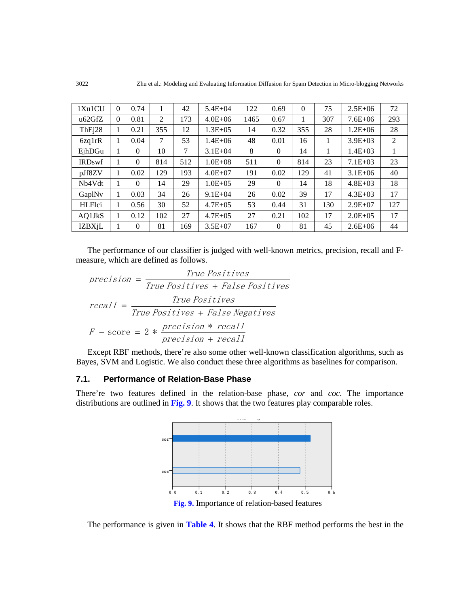| 1Xu1CU              | $\theta$ | 0.74     |     | 42  | $5.4E + 04$  | 122  | 0.69     | $\Omega$ | 75  | $2.5E + 06$  | 72  |
|---------------------|----------|----------|-----|-----|--------------|------|----------|----------|-----|--------------|-----|
| u62GfZ              | $\Omega$ | 0.81     | 2   | 173 | $4.0E + 06$  | 1465 | 0.67     |          | 307 | $7.6E + 06$  | 293 |
| ThE <sub>i</sub> 28 | 1        | 0.21     | 355 | 12  | $1.3E + 0.5$ | 14   | 0.32     | 355      | 28  | $1.2E + 06$  | 28  |
| 6zq1rR              | 1        | 0.04     | 7   | 53  | $1.4E + 06$  | 48   | 0.01     | 16       |     | $3.9E + 03$  | 2   |
| EjhDGu              | 1        | $\Omega$ | 10  | 7   | $3.1E + 04$  | 8    | $\Omega$ | 14       |     | $1.4E + 03$  |     |
| <b>IRDswf</b>       | -1       | $\Omega$ | 814 | 512 | $1.0E + 0.8$ | 511  | $\Omega$ | 814      | 23  | $7.1E + 03$  | 23  |
| pJf8ZV              | 1        | 0.02     | 129 | 193 | $4.0E + 07$  | 191  | 0.02     | 129      | 41  | $3.1E + 06$  | 40  |
| Nb4Vdt              |          | $\theta$ | 14  | 29  | $1.0E + 0.5$ | 29   | $\Omega$ | 14       | 18  | $4.8E + 03$  | 18  |
| GaplNv              | 1        | 0.03     | 34  | 26  | $9.1E + 04$  | 26   | 0.02     | 39       | 17  | $4.3E + 03$  | 17  |
| <b>HLFIci</b>       | 1        | 0.56     | 30  | 52  | $4.7E + 0.5$ | 53   | 0.44     | 31       | 130 | $2.9E+07$    | 127 |
| AQ1JkS              | 1        | 0.12     | 102 | 27  | $4.7E + 0.5$ | 27   | 0.21     | 102      | 17  | $2.0E + 0.5$ | 17  |
| <b>IZBXjL</b>       | 1        | $\theta$ | 81  | 169 | $3.5E + 07$  | 167  | $\Omega$ | 81       | 45  | $2.6E + 06$  | 44  |

The performance of our classifier is judged with well-known metrics, precision, recall and Fmeasure, which are defined as follows.

$$
precision = \frac{True \ Positives}{True \ Positives + False \ Positives}
$$
\n
$$
recall = \frac{True \ Positives}{True \ Positives + False \ Negatives}
$$
\n
$$
F - score = 2 * \frac{precision * recall}{precision + recall}
$$

Except RBF methods, there're also some other well-known classification algorithms, such as Bayes, SVM and Logistic. We also conduct these three algorithms as baselines for comparison.

# **7.1. Performance of Relation-Base Phase**

There're two features defined in the relation-base phase, *cor* and *coc*. The importance distributions are outlined in **Fig. 9**. It shows that the two features play comparable roles.



The performance is given in **Table 4**. It shows that the RBF method performs the best in the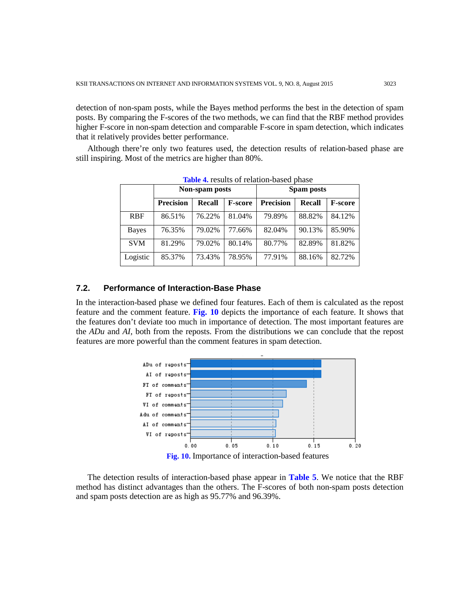detection of non-spam posts, while the Bayes method performs the best in the detection of spam posts. By comparing the F-scores of the two methods, we can find that the RBF method provides higher F-score in non-spam detection and comparable F-score in spam detection, which indicates that it relatively provides better performance.

Although there're only two features used, the detection results of relation-based phase are still inspiring. Most of the metrics are higher than 80%.

|              |                  | Non-spam posts |                | Spam posts       |               |                |  |  |  |
|--------------|------------------|----------------|----------------|------------------|---------------|----------------|--|--|--|
|              | <b>Precision</b> | Recall         | <b>F-score</b> | <b>Precision</b> | <b>Recall</b> | <b>F-score</b> |  |  |  |
| <b>RBF</b>   | 86.51%           | 76.22%         | 81.04%         | 79.89%           | 88.82%        | 84.12%         |  |  |  |
| <b>Bayes</b> | 76.35%           | 79.02%         | 77.66%         | 82.04%           | 90.13%        | 85.90%         |  |  |  |
| <b>SVM</b>   | 81.29%           | 79.02%         | 80.14%         | 80.77%           | 82.89%        | 81.82%         |  |  |  |
| Logistic     | 85.37%           | 73.43%         | 78.95%         | 77.91%           | 88.16%        | 82.72%         |  |  |  |

**Table 4.** results of relation-based phase

# **7.2. Performance of Interaction-Base Phase**

In the interaction-based phase we defined four features. Each of them is calculated as the repost feature and the comment feature. **Fig. 10** depicts the importance of each feature. It shows that the features don't deviate too much in importance of detection. The most important features are the *ADu* and *AI*, both from the reposts. From the distributions we can conclude that the repost features are more powerful than the comment features in spam detection.



**Fig. 10.** Importance of interaction-based features

The detection results of interaction-based phase appear in **Table 5**. We notice that the RBF method has distinct advantages than the others. The F-scores of both non-spam posts detection and spam posts detection are as high as 95.77% and 96.39%.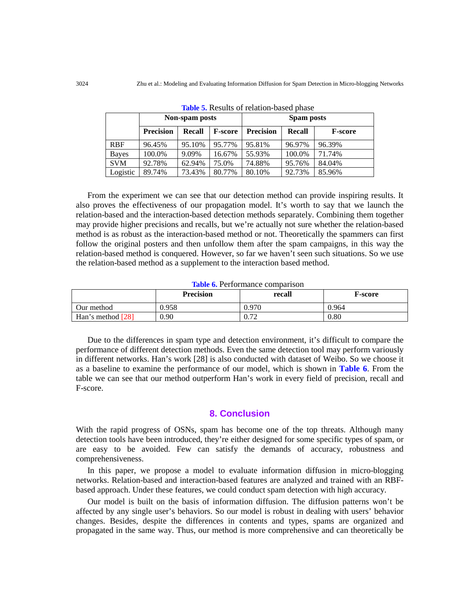|              |                  | Non-spam posts |                | Spam posts       |               |                |  |  |  |
|--------------|------------------|----------------|----------------|------------------|---------------|----------------|--|--|--|
|              | <b>Precision</b> | <b>Recall</b>  | <b>F-score</b> | <b>Precision</b> | <b>Recall</b> | <b>F-score</b> |  |  |  |
| <b>RBF</b>   | 96.45%           | 95.10%         | 95.77%         | 95.81%           | 96.97%        | 96.39%         |  |  |  |
| <b>Bayes</b> | 100.0%           | 9.09%          | 16.67%         | 55.93%           | 100.0%        | 71.74%         |  |  |  |
| <b>SVM</b>   | 92.78%           | 62.94%         | 75.0%          | 74.88%           | 95.76%        | 84.04%         |  |  |  |
| Logistic     | 89.74%           | 73.43%         | 80.77%         | 80.10%           | 92.73%        | 85.96%         |  |  |  |

**Table 5.** Results of relation-based phase

From the experiment we can see that our detection method can provide inspiring results. It also proves the effectiveness of our propagation model. It's worth to say that we launch the relation-based and the interaction-based detection methods separately. Combining them together may provide higher precisions and recalls, but we're actually not sure whether the relation-based method is as robust as the interaction-based method or not. Theoretically the spammers can first follow the original posters and then unfollow them after the spam campaigns, in this way the relation-based method is conquered. However, so far we haven't seen such situations. So we use the relation-based method as a supplement to the interaction based method.

#### **Table 6.** Performance comparison

|                   | <b>Precision</b> | recall | F-score |
|-------------------|------------------|--------|---------|
| Our method        | 0.958            | 0.970  | 0.964   |
| Han's method [28] | 0.90             | 0.72   | 0.80    |

Due to the differences in spam type and detection environment, it's difficult to compare the performance of different detection methods. Even the same detection tool may perform variously in different networks. Han's work [28] is also conducted with dataset of Weibo. So we choose it as a baseline to examine the performance of our model, which is shown in **Table 6**. From the table we can see that our method outperform Han's work in every field of precision, recall and F-score.

# **8. Conclusion**

With the rapid progress of OSNs, spam has become one of the top threats. Although many detection tools have been introduced, they're either designed for some specific types of spam, or are easy to be avoided. Few can satisfy the demands of accuracy, robustness and comprehensiveness.

In this paper, we propose a model to evaluate information diffusion in micro-blogging networks. Relation-based and interaction-based features are analyzed and trained with an RBFbased approach. Under these features, we could conduct spam detection with high accuracy.

Our model is built on the basis of information diffusion. The diffusion patterns won't be affected by any single user's behaviors. So our model is robust in dealing with users' behavior changes. Besides, despite the differences in contents and types, spams are organized and propagated in the same way. Thus, our method is more comprehensive and can theoretically be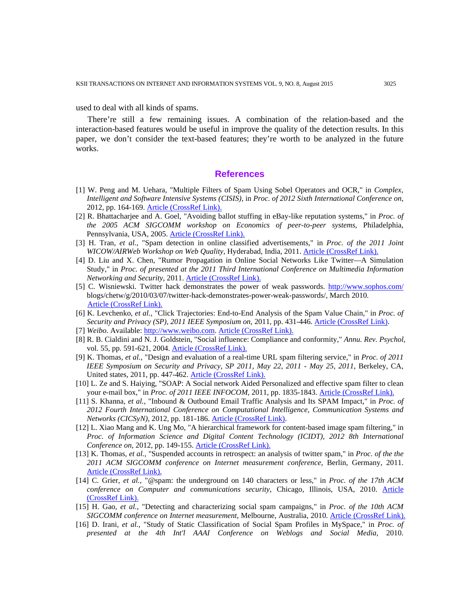used to deal with all kinds of spams.

There're still a few remaining issues. A combination of the relation-based and the interaction-based features would be useful in improve the quality of the detection results. In this paper, we don't consider the text-based features; they're worth to be analyzed in the future works.

# **References**

- [1] W. Peng and M. Uehara, "Multiple Filters of Spam Using Sobel Operators and OCR," in *Complex, Intelligent and Software Intensive Systems (CISIS),* in *Proc. of 2012 Sixth International Conference on*, 2012, pp. 164-169. [Article \(CrossRef Link\).](http://doi.ieeecomputersociety.org/10.1109/CISIS.2012.104)
- [2] R. Bhattacharjee and A. Goel, "Avoiding ballot stuffing in eBay-like reputation systems," in *Proc. of the 2005 ACM SIGCOMM workshop on Economics of peer-to-peer systems*, Philadelphia, Pennsylvania, USA, 2005. [Article \(CrossRef Link\).](http://dx.doi.org/10.1145/1080192.1080203)
- [3] H. Tran*, et al.*, "Spam detection in online classified advertisements," in *Proc. of the 2011 Joint WICOW/AIRWeb Workshop on Web Quality*, Hyderabad, India, 2011. **[Article \(CrossRef Link\).](http://dx.doi.org/10.1145/1964114.1964122)**
- [4] D. Liu and X. Chen, "Rumor Propagation in Online Social Networks Like Twitter—A Simulation Study," in *Proc. of presented at the 2011 Third International Conference on Multimedia Information Networking and Security*, 2011. [Article \(CrossRef Link\).](http://dx.doi.org/10.1109/mines.2011.109)
- [5] C. Wisniewski. Twitter hack demonstrates the power of weak passwords.<http://www.sophos.com/> blogs/chetw/g/2010/03/07/twitter-hack-demonstrates-power-weak-passwords/, March 2010. [Article \(CrossRef Link\).](http://www.sophos.com/%20blogs/chetw/g/2010/03/07/twitter-%20hack-demonstrates-power-weak-passwords)
- [6] K. Levchenko*, et al.*, "Click Trajectories: End-to-End Analysis of the Spam Value Chain," in *Proc. of Security and Privacy (SP), 2011 IEEE Symposium on*, 2011, pp. 431-446. [Article \(CrossRef Link\).](http://dx.doi.org/10.1109/sp.2011.24)
- [7] *Weibo*. Available: [http://www.weibo.com. Article \(CrossRef Link\).](http://www.weibo.com/)
- [8] R. B. Cialdini and N. J. Goldstein, "Social influence: Compliance and conformity," *Annu. Rev. Psychol,*  vol. 55, pp. 591-621, 2004. [Article \(CrossRef Link\).](http://www.annualreviews.org/doi/abs/10.1146/annurev.psych.55.090902.142015)
- [9] K. Thomas*, et al.*, "Design and evaluation of a real-time URL spam filtering service," in *Proc. of 2011 IEEE Symposium on Security and Privacy, SP 2011, May 22, 2011 - May 25, 2011*, Berkeley, CA, United states, 2011, pp. 447-462. [Article \(CrossRef Link\).](http://ieeexplore.ieee.org/xpl/login.jsp?tp=&arnumber=5958045&url=http%3A%2F%2Fieeexplore.ieee.org%2Fxpls%2Fabs_all.jsp%3Farnumber%3D5958045)
- [10] L. Ze and S. Haiying, "SOAP: A Social network Aided Personalized and effective spam filter to clean your e-mail box," in *Proc. of 2011 IEEE INFOCOM*, 2011, pp. 1835-1843. [Article \(CrossRef Link\).](http://ieeexplore.ieee.org/xpl/login.jsp?tp=&arnumber=5934984&url=http%3A%2F%2Fieeexplore.ieee.org%2Fxpls%2Fabs_all.jsp%3Farnumber%3D5934984)
- [11] S. Khanna*, et al.*, "Inbound & Outbound Email Traffic Analysis and Its SPAM Impact," in *Proc. of 2012 Fourth International Conference on Computational Intelligence, Communication Systems and Networks (CICSyN)*, 2012, pp. 181-186. [Article \(CrossRef Link\).](http://dx.doi.org/10.1109/CICSyN.2012.42)
- [12] L. Xiao Mang and K. Ung Mo, "A hierarchical framework for content-based image spam filtering," in *Proc. of Information Science and Digital Content Technology (ICIDT), 2012 8th International Conference on*, 2012, pp. 149-155. [Article \(CrossRef Link\).](http://ieeexplore.ieee.org/xpl/login.jsp?tp=&arnumber=6269246&url=http%3A%2F%2Fieeexplore.ieee.org%2Fxpls%2Fabs_all.jsp%3Farnumber%3D6269246)
- [13] K. Thomas*, et al.*, "Suspended accounts in retrospect: an analysis of twitter spam," in *Proc. of the the 2011 ACM SIGCOMM conference on Internet measurement conference*, Berlin, Germany, 2011. [Article \(CrossRef Link\).](http://dx.doi.org/10.1145/2068816.2068840)
- [14] C. Grier*, et al.*, "@spam: the underground on 140 characters or less," in *Proc. of the 17th ACM conference on Computer and communications security*, Chicago, Illinois, USA, 2010. [Article](http://dx.doi.org/10.1145/1866307.1866311)  [\(CrossRef Link\).](http://dx.doi.org/10.1145/1866307.1866311)
- [15] H. Gao*, et al.*, "Detecting and characterizing social spam campaigns," in *Proc. of the 10th ACM SIGCOMM conference on Internet measurement*, Melbourne, Australia, 2010. [Article \(CrossRef Link\).](http://dl.acm.org/citation.cfm?doid=1879141.1879147)
- [16] D. Irani*, et al.*, "Study of Static Classification of Social Spam Profiles in MySpace," in *Proc. of presented at the 4th Int'l AAAI Conference on Weblogs and Social Media*, 2010.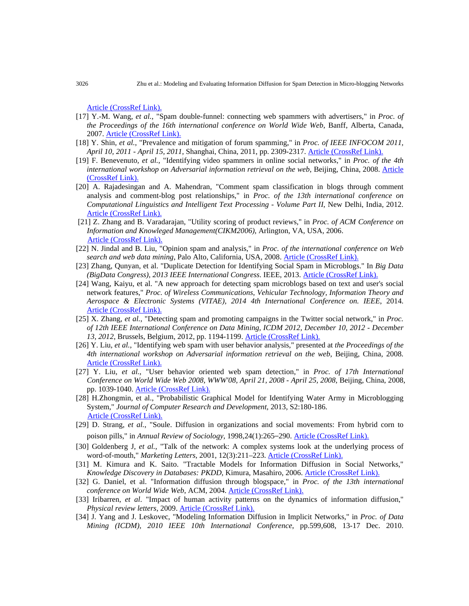[Article \(CrossRef Link\).](http://www.aaai.org/ocs/index.php/ICWSM/ICWSM10/paper/viewFile/1492/1838/)

- [17] Y.-M. Wang*, et al.*, "Spam double-funnel: connecting web spammers with advertisers," in *Proc. of the Proceedings of the 16th international conference on World Wide Web*, Banff, Alberta, Canada, 2007. [Article \(CrossRef Link\).](http://dx.doi.org/10.1145/1242572.1242612)
- [18] Y. Shin*, et al.*, "Prevalence and mitigation of forum spamming," in *Proc. of IEEE INFOCOM 2011, April 10, 2011 - April 15, 2011*, Shanghai, China, 2011, pp. 2309-2317. [Article \(CrossRef Link\).](http://ieeexplore.ieee.org/xpl/login.jsp?tp=&arnumber=5935048&url=http%3A%2F%2Fieeexplore.ieee.org%2Fxpls%2Fabs_all.jsp%3Farnumber%3D5935048)
- [19] F. Benevenuto*, et al.*, "Identifying video spammers in online social networks," in *Proc. of the 4th international workshop on Adversarial information retrieval on the web*, Beijing, China, 2008. [Article](http://dx.doi.org/10.1145/1451983.1451996)  [\(CrossRef Link\).](http://dx.doi.org/10.1145/1451983.1451996)
- [20] A. Rajadesingan and A. Mahendran, "Comment spam classification in blogs through comment analysis and comment-blog post relationships," in *Proc. of the 13th international conference on Computational Linguistics and Intelligent Text Processing - Volume Part II*, New Delhi, India, 2012. [Article \(CrossRef Link\).](http://dx.doi.org/10.1007/978-3-642-28601-8_41)
- [21] Z. Zhang and B. Varadarajan, "Utility scoring of product reviews," in *Proc. of ACM Conference on Information and Knowleged Management(CIKM2006)*, Arlington, VA, USA, 2006. [Article \(CrossRef Link\).](http://dx.doi.org/10.1145/1183614.1183626)
- [22] N. Jindal and B. Liu, "Opinion spam and analysis," in *Proc. of the international conference on Web search and web data mining*, Palo Alto, California, USA, 2008. [Article \(CrossRef Link\).](http://dx.doi.org/10.1145/1341531.1341560)
- [23] Zhang, Qunyan, et al. "Duplicate Detection for Identifying Social Spam in Microblogs." In *Big Data (BigData Congress), 2013 IEEE International Congress*. IEEE, 2013. [Article \(CrossRef Link\).](http://dx.doi.org/10.1109/bigdata.congress.2013.27)
- [24] Wang, Kaiyu, et al. "A new approach for detecting spam microblogs based on text and user's social network features," *Proc. of Wireless Communications, Vehicular Technology, Information Theory and Aerospace & Electronic Systems (VITAE), 2014 4th International Conference on. IEEE*, 2014. [Article \(CrossRef Link\).](http://dx.doi.org/10.1109/vitae.2014.6934446)
- [25] X. Zhang*, et al.*, "Detecting spam and promoting campaigns in the Twitter social network," in *Proc. of 12th IEEE International Conference on Data Mining, ICDM 2012, December 10, 2012 - December 13, 2012*, Brussels, Belgium, 2012, pp. 1194-1199. [Article \(CrossRef Link\).](http://dx.doi.org/10.1109/ICDM.2012.28)
- [26] Y. Liu*, et al.*, "Identifying web spam with user behavior analysis," presented at *the Proceedings of the 4th international workshop on Adversarial information retrieval on the web*, Beijing, China, 2008. [Article \(CrossRef Link\).](http://dx.doi.org/10.1145/1451983.1451986)
- [27] Y. Liu*, et al.*, "User behavior oriented web spam detection," in *Proc. of 17th International Conference on World Wide Web 2008, WWW'08, April 21, 2008 - April 25, 2008*, Beijing, China, 2008, pp. 1039-1040. [Article \(CrossRef Link\).](http://dx.doi.org/10.1145/1367497.1367645)
- [28] H.Zhongmin, et al., "Probabilistic Graphical Model for Identifying Water Army in Microblogging System," *Journal of Computer Research and Development,* 2013, S2:180-186. [Article \(CrossRef Link\).](http://d.wanfangdata.com.cn/periodical_jsjyjyfz2013z2022.aspx)
- [29] D. Strang*, et al.*, "Soule. Diffusion in organizations and social movements: From hybrid corn to poison pills," in *Annual Review of Sociology*, 1998,24(1):265–290. [Article \(CrossRef Link\).](http://dx.doi.org/10.1146/annurev.soc.24.1.265)
- [30] Goldenberg J*, et al.*, "Talk of the network: A complex systems look at the underlying process of word-of-mouth," *Marketing Letters,* 2001, 12(3):211–223. [Article \(CrossRef Link\).](http://dx.doi.org/10.1023/A:1011122126881)
- [31] M. Kimura and K. Saito. "Tractable Models for Information Diffusion in Social Networks," *Knowledge Discovery in Databases: PKDD*, Kimura, Masahiro, 2006. [Article \(CrossRef Link\).](http://link.springer.com/chapter/10.1007/11871637_27)
- [32] G. Daniel, et al. "Information diffusion through blogspace," in *Proc. of the 13th international conference on World Wide Web*, ACM, 2004. [Article \(CrossRef Link\).](http://dl.acm.org/citation.cfm?doid=988672.988739)
- [33] Iribarren*, et al*. "Impact of human activity patterns on the dynamics of information diffusion," *Physical review letters*, 2009. [Article \(CrossRef Link\).](http://dx.doi.org/10.1103/PhysRevLett.103.038702)
- [34] J. Yang and J. Leskovec, "Modeling Information Diffusion in Implicit Networks," in *Proc. of Data Mining (ICDM), 2010 IEEE 10th International Conference*, pp.599,608, 13-17 Dec. 2010.